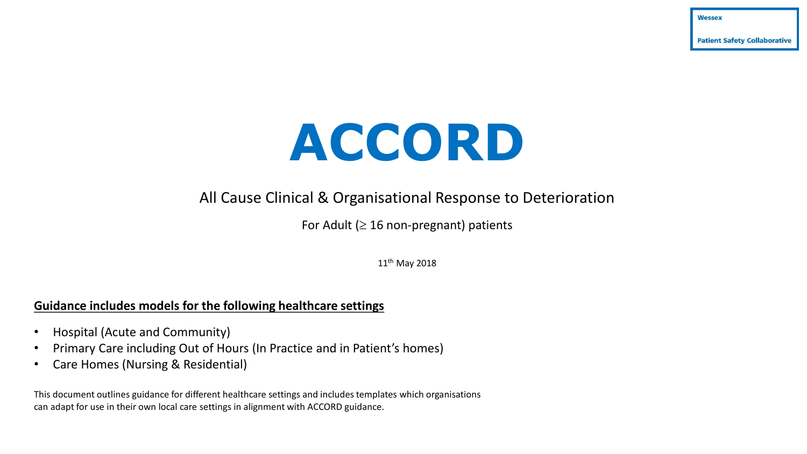**Patient Safety Collaborative** 

Wessex

# **ACCORD**

# All Cause Clinical & Organisational Response to Deterioration

For Adult ( $\geq 16$  non-pregnant) patients

11<sup>th</sup> May 2018

### **Guidance includes models for the following healthcare settings**

- Hospital (Acute and Community)
- Primary Care including Out of Hours (In Practice and in Patient's homes)
- Care Homes (Nursing & Residential)

This document outlines guidance for different healthcare settings and includes templates which organisations can adapt for use in their own local care settings in alignment with ACCORD guidance.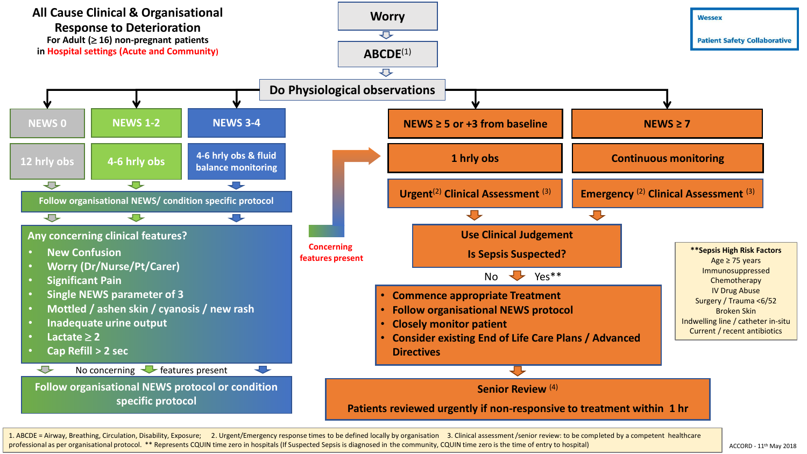

1. ABCDE = Airway, Breathing, Circulation, Disability, Exposure; 2. Urgent/Emergency response times to be defined locally by organisation 3. Clinical assessment /senior review: to be completed by a competent healthcare professional as per organisational protocol. \*\* Represents CQUIN time zero in hospitals (If Suspected Sepsis is diagnosed in the community, CQUIN time zero is the time of entry to hospital)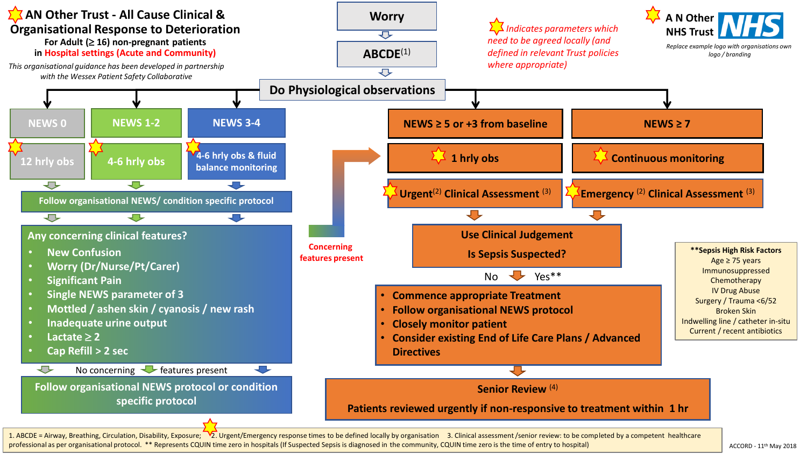

professional as per organisational protocol. \*\* Represents CQUIN time zero in hospitals (If Suspected Sepsis is diagnosed in the community, CQUIN time zero is the time of entry to hospital)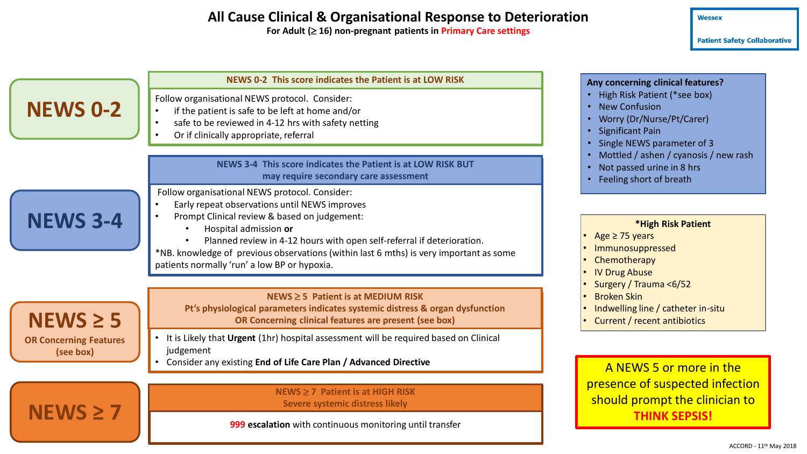## **All Cause Clinical & Organisational Response to Deterioration**

**For Adult ( 16) non-pregnant patients in Primary Care settings**

**Patient Safety Collaborative** 

|                                            | NEWS 0-2 This score indicates the Patient is at LOW RISK                                                                                                                                                                                                                                                                                                                                                  | Any concerning clinical features?                                                                                                                                                                                                                                                                                                                                                                                                                                                                                                             |
|--------------------------------------------|-----------------------------------------------------------------------------------------------------------------------------------------------------------------------------------------------------------------------------------------------------------------------------------------------------------------------------------------------------------------------------------------------------------|-----------------------------------------------------------------------------------------------------------------------------------------------------------------------------------------------------------------------------------------------------------------------------------------------------------------------------------------------------------------------------------------------------------------------------------------------------------------------------------------------------------------------------------------------|
| <b>NEWS 0-2</b>                            | Follow organisational NEWS protocol. Consider:<br>if the patient is safe to be left at home and/or<br>$\bullet$<br>safe to be reviewed in 4-12 hrs with safety netting<br>$\bullet$<br>Or if clinically appropriate, referral<br>$\bullet$                                                                                                                                                                | • High Risk Patient (*see box)<br><b>New Confusion</b><br>$\bullet$<br>Worry (Dr/Nurse/Pt/Carer)<br>$\bullet$<br><b>Significant Pain</b><br>$\bullet$<br>Single NEWS parameter of 3<br>Mottled / ashen / cyanosis / new rash<br>Not passed urine in 8 hrs<br>$\bullet$<br>Feeling short of breath<br>$\bullet$<br>*High Risk Patient<br>Age $\geq$ 75 years<br>Immunosuppressed<br>Chemotherapy<br><b>IV Drug Abuse</b><br>Surgery / Trauma <6/52<br><b>Broken Skin</b><br>Indwelling line / catheter in-situ<br>Current / recent antibiotics |
|                                            | NEWS 3-4 This score indicates the Patient is at LOW RISK BUT<br>may require secondary care assessment                                                                                                                                                                                                                                                                                                     |                                                                                                                                                                                                                                                                                                                                                                                                                                                                                                                                               |
| <b>NEWS 3-4</b>                            | Follow organisational NEWS protocol. Consider:<br>Early repeat observations until NEWS improves<br>Prompt Clinical review & based on judgement:<br>$\bullet$<br>Hospital admission or<br>Planned review in 4-12 hours with open self-referral if deterioration.<br>*NB. knowledge of previous observations (within last 6 mths) is very important as some<br>patients normally 'run' a low BP or hypoxia. |                                                                                                                                                                                                                                                                                                                                                                                                                                                                                                                                               |
| $N EWS \geq 5$                             | $NEWS \geq 5$ Patient is at MEDIUM RISK<br>Pt's physiological parameters indicates systemic distress & organ dysfunction<br>OR Concerning clinical features are present (see box)                                                                                                                                                                                                                         |                                                                                                                                                                                                                                                                                                                                                                                                                                                                                                                                               |
| <b>OR Concerning Features</b><br>(see box) | It is Likely that Urgent (1hr) hospital assessment will be required based on Clinical<br>judgement<br>Consider any existing End of Life Care Plan / Advanced Directive                                                                                                                                                                                                                                    | A NEWS 5 or more in the                                                                                                                                                                                                                                                                                                                                                                                                                                                                                                                       |
|                                            | $NEWS \geq 7$ Patient is at HIGH RISK<br>Severe systemic distress likely                                                                                                                                                                                                                                                                                                                                  | presence of suspected infection<br>should prompt the clinician to<br><b>THINK SEPSIS!</b>                                                                                                                                                                                                                                                                                                                                                                                                                                                     |

**999 escalation** with continuous monitoring until transfer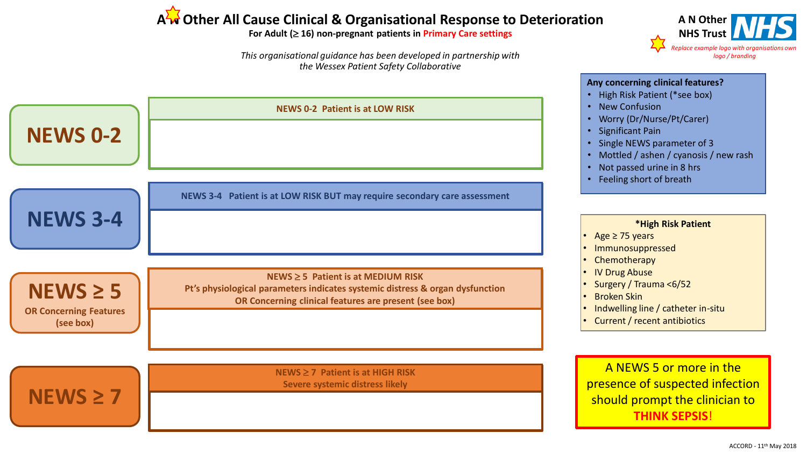# A<sup><sup>2</sup><sup>4</sup> Other All Cause Clinical & Organisational Response to Deterioration</sup>

#### **For Adult ( 16) non-pregnant patients in Primary Care settings**

*This organisational guidance has been developed in partnership with the Wessex Patient Safety Collaborative*



**A N Other NHS Trust**

*Replace example logo with organisations* 

*logo / branding*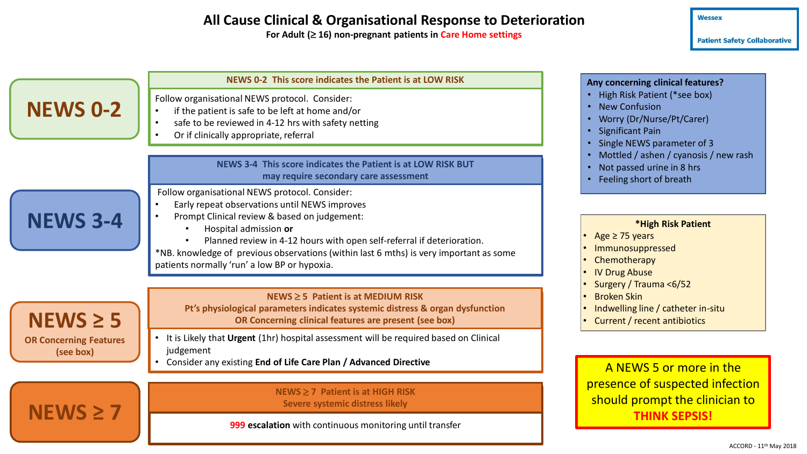## **All Cause Clinical & Organisational Response to Deterioration**

For Adult ( $\geq$  16) non-pregnant patients in Care Home settings

**Patient Safety Collaborative** 

| <b>NEWS 0-2</b>                            | NEWS 0-2 This score indicates the Patient is at LOW RISK<br>Follow organisational NEWS protocol. Consider:<br>if the patient is safe to be left at home and/or<br>$\bullet$<br>safe to be reviewed in 4-12 hrs with safety netting<br>$\bullet$                                                                                                                                              | Any concerning clinical features?<br>• High Risk Patient (*see box)<br>• New Confusion<br>• Worry (Dr/Nurse/Pt/Carer)<br>• Significant Pain<br>• Single NEWS parameter of 3<br>• Mottled / ashen / cyanosis / new rash<br>• Not passed urine in 8 hrs<br>• Feeling short of breath<br>*High Risk Patient<br>Age $\geq$ 75 years<br>Immunosuppressed<br>Chemotherapy<br><b>IV Drug Abuse</b><br>Surgery / Trauma <6/52<br><b>Broken Skin</b><br>Indwelling line / catheter in-situ<br>Current / recent antibiotics |
|--------------------------------------------|----------------------------------------------------------------------------------------------------------------------------------------------------------------------------------------------------------------------------------------------------------------------------------------------------------------------------------------------------------------------------------------------|-------------------------------------------------------------------------------------------------------------------------------------------------------------------------------------------------------------------------------------------------------------------------------------------------------------------------------------------------------------------------------------------------------------------------------------------------------------------------------------------------------------------|
|                                            | Or if clinically appropriate, referral<br>$\bullet$<br>NEWS 3-4 This score indicates the Patient is at LOW RISK BUT<br>may require secondary care assessment                                                                                                                                                                                                                                 |                                                                                                                                                                                                                                                                                                                                                                                                                                                                                                                   |
| <b>NEWS 3-4</b>                            | Follow organisational NEWS protocol. Consider:<br>Early repeat observations until NEWS improves<br>Prompt Clinical review & based on judgement:<br>Hospital admission or<br>Planned review in 4-12 hours with open self-referral if deterioration.<br>*NB. knowledge of previous observations (within last 6 mths) is very important as some<br>patients normally 'run' a low BP or hypoxia. |                                                                                                                                                                                                                                                                                                                                                                                                                                                                                                                   |
| $N EWS \geq 5$                             | $NEWS \geq 5$ Patient is at MEDIUM RISK<br>Pt's physiological parameters indicates systemic distress & organ dysfunction<br>OR Concerning clinical features are present (see box)                                                                                                                                                                                                            |                                                                                                                                                                                                                                                                                                                                                                                                                                                                                                                   |
| <b>OR Concerning Features</b><br>(see box) | It is Likely that Urgent (1hr) hospital assessment will be required based on Clinical<br>judgement<br>Consider any existing End of Life Care Plan / Advanced Directive                                                                                                                                                                                                                       | A NEWS 5 or more in the                                                                                                                                                                                                                                                                                                                                                                                                                                                                                           |
|                                            | NEWS $\geq$ 7 Patient is at HIGH RISK<br>Severe systemic distress likely<br>000 accalation with continuous monitoring until transfor                                                                                                                                                                                                                                                         | presence of suspected infection<br>should prompt the clinician to<br><b>THINK SEPSIS!</b>                                                                                                                                                                                                                                                                                                                                                                                                                         |

**999 escalation** with continuous monitoring until transfer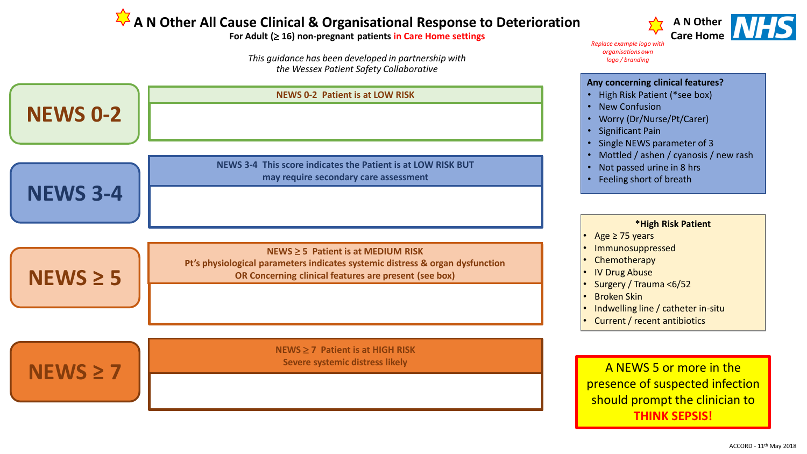# **A N Other All Cause Clinical & Organisational Response to Deterioration**

**For Adult ( 16) non-pregnant patients in Care Home settings**

*This guidance has been developed in partnership with the Wessex Patient Safety Collaborative*



**A N Other Care Home**

*Replace example logo with organisations own logo / branding*